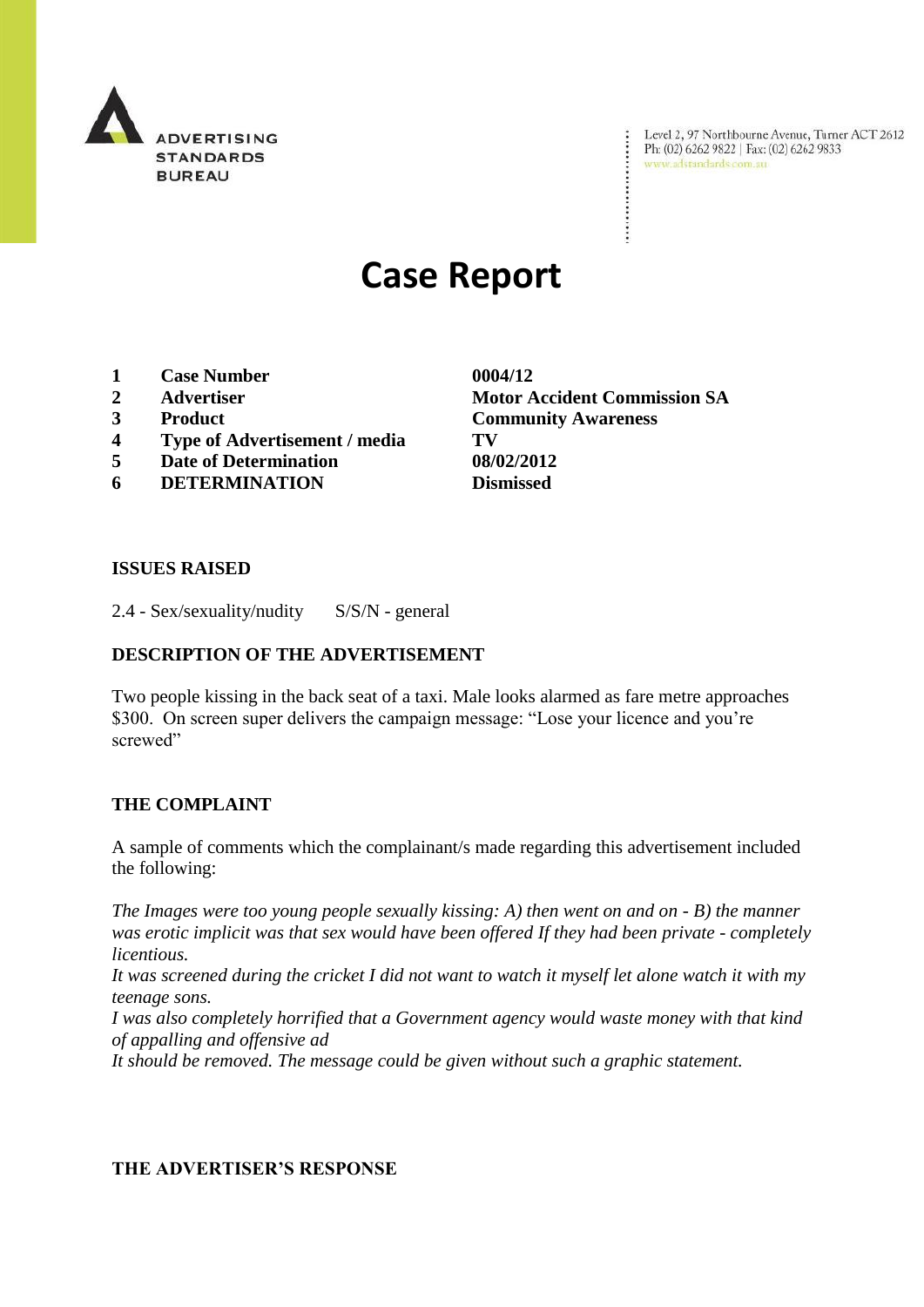

Level 2, 97 Northbourne Avenue, Turner ACT 2612<br>Ph: (02) 6262 9822 | Fax: (02) 6262 9833<br>www.adstandards.com.au

# **Case Report**

- **1 Case Number 0004/12**
- 
- 
- **4 Type of Advertisement / media TV**
- **5 Date of Determination 08/02/2012**
- **6 DETERMINATION Dismissed**

**2 Advertiser Motor Accident Commission SA 3 Product Community Awareness**

÷

### **ISSUES RAISED**

2.4 - Sex/sexuality/nudity S/S/N - general

### **DESCRIPTION OF THE ADVERTISEMENT**

Two people kissing in the back seat of a taxi. Male looks alarmed as fare metre approaches \$300. On screen super delivers the campaign message: "Lose your licence and you're screwed"

### **THE COMPLAINT**

A sample of comments which the complainant/s made regarding this advertisement included the following:

*The Images were too young people sexually kissing: A) then went on and on - B) the manner was erotic implicit was that sex would have been offered If they had been private - completely licentious.*

*It was screened during the cricket I did not want to watch it myself let alone watch it with my teenage sons.*

*I was also completely horrified that a Government agency would waste money with that kind of appalling and offensive ad*

*It should be removed. The message could be given without such a graphic statement.*

### **THE ADVERTISER'S RESPONSE**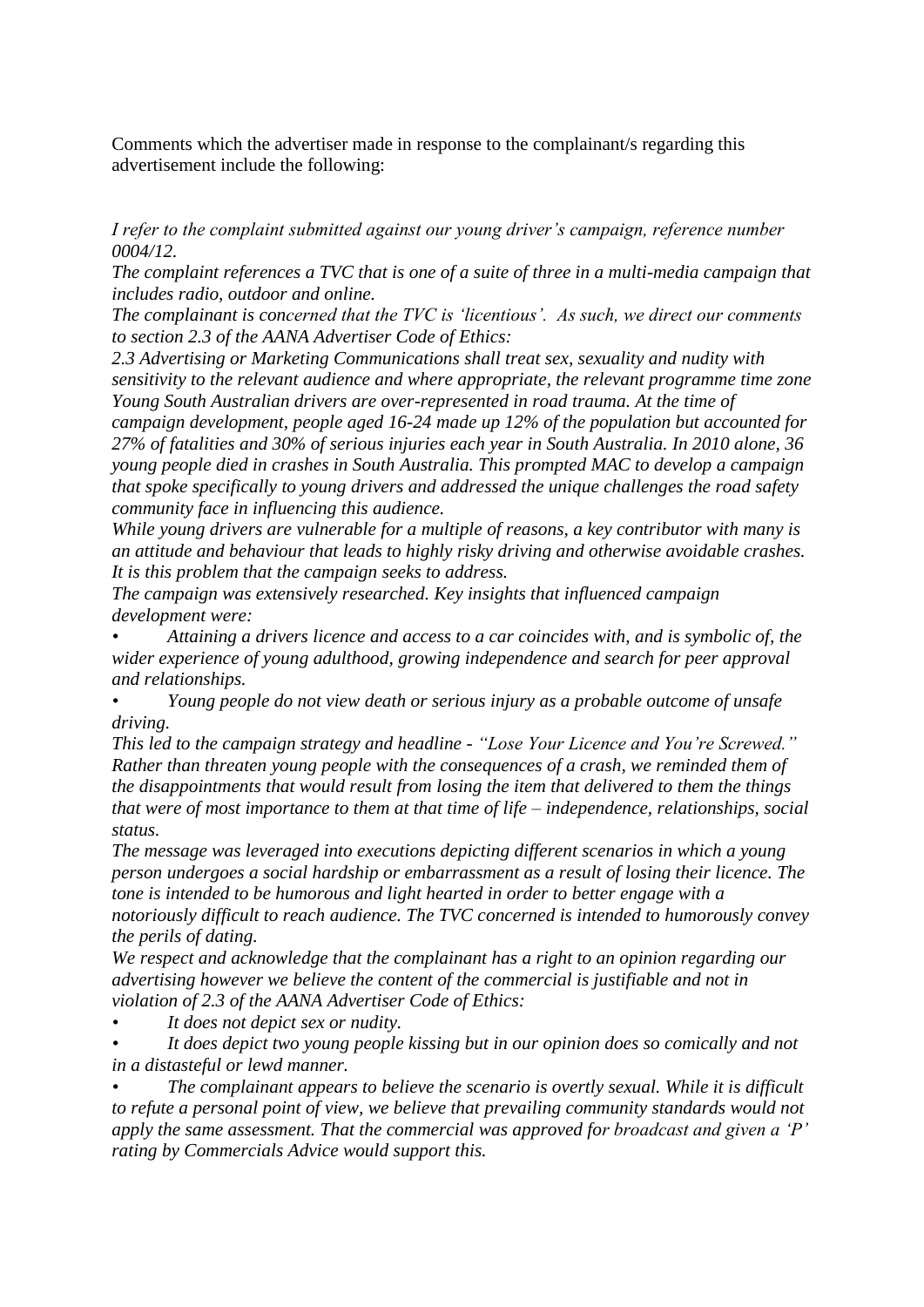Comments which the advertiser made in response to the complainant/s regarding this advertisement include the following:

*I refer to the complaint submitted against our young driver"s campaign, reference number 0004/12.*

*The complaint references a TVC that is one of a suite of three in a multi-media campaign that includes radio, outdoor and online.* 

*The complainant is concerned that the TVC is "licentious". As such, we direct our comments to section 2.3 of the AANA Advertiser Code of Ethics:* 

*2.3 Advertising or Marketing Communications shall treat sex, sexuality and nudity with sensitivity to the relevant audience and where appropriate, the relevant programme time zone Young South Australian drivers are over-represented in road trauma. At the time of* 

*campaign development, people aged 16-24 made up 12% of the population but accounted for 27% of fatalities and 30% of serious injuries each year in South Australia. In 2010 alone, 36 young people died in crashes in South Australia. This prompted MAC to develop a campaign that spoke specifically to young drivers and addressed the unique challenges the road safety community face in influencing this audience.* 

*While young drivers are vulnerable for a multiple of reasons, a key contributor with many is an attitude and behaviour that leads to highly risky driving and otherwise avoidable crashes. It is this problem that the campaign seeks to address.*

*The campaign was extensively researched. Key insights that influenced campaign development were:*

*• Attaining a drivers licence and access to a car coincides with, and is symbolic of, the wider experience of young adulthood, growing independence and search for peer approval and relationships.*

*• Young people do not view death or serious injury as a probable outcome of unsafe driving.*

*This led to the campaign strategy and headline - "Lose Your Licence and You"re Screwed." Rather than threaten young people with the consequences of a crash, we reminded them of the disappointments that would result from losing the item that delivered to them the things that were of most importance to them at that time of life – independence, relationships, social status.* 

*The message was leveraged into executions depicting different scenarios in which a young person undergoes a social hardship or embarrassment as a result of losing their licence. The tone is intended to be humorous and light hearted in order to better engage with a notoriously difficult to reach audience. The TVC concerned is intended to humorously convey the perils of dating.*

*We respect and acknowledge that the complainant has a right to an opinion regarding our advertising however we believe the content of the commercial is justifiable and not in violation of 2.3 of the AANA Advertiser Code of Ethics:*

*• It does not depict sex or nudity.*

*• It does depict two young people kissing but in our opinion does so comically and not in a distasteful or lewd manner.*

*• The complainant appears to believe the scenario is overtly sexual. While it is difficult to refute a personal point of view, we believe that prevailing community standards would not apply the same assessment. That the commercial was approved for broadcast and given a "P" rating by Commercials Advice would support this.*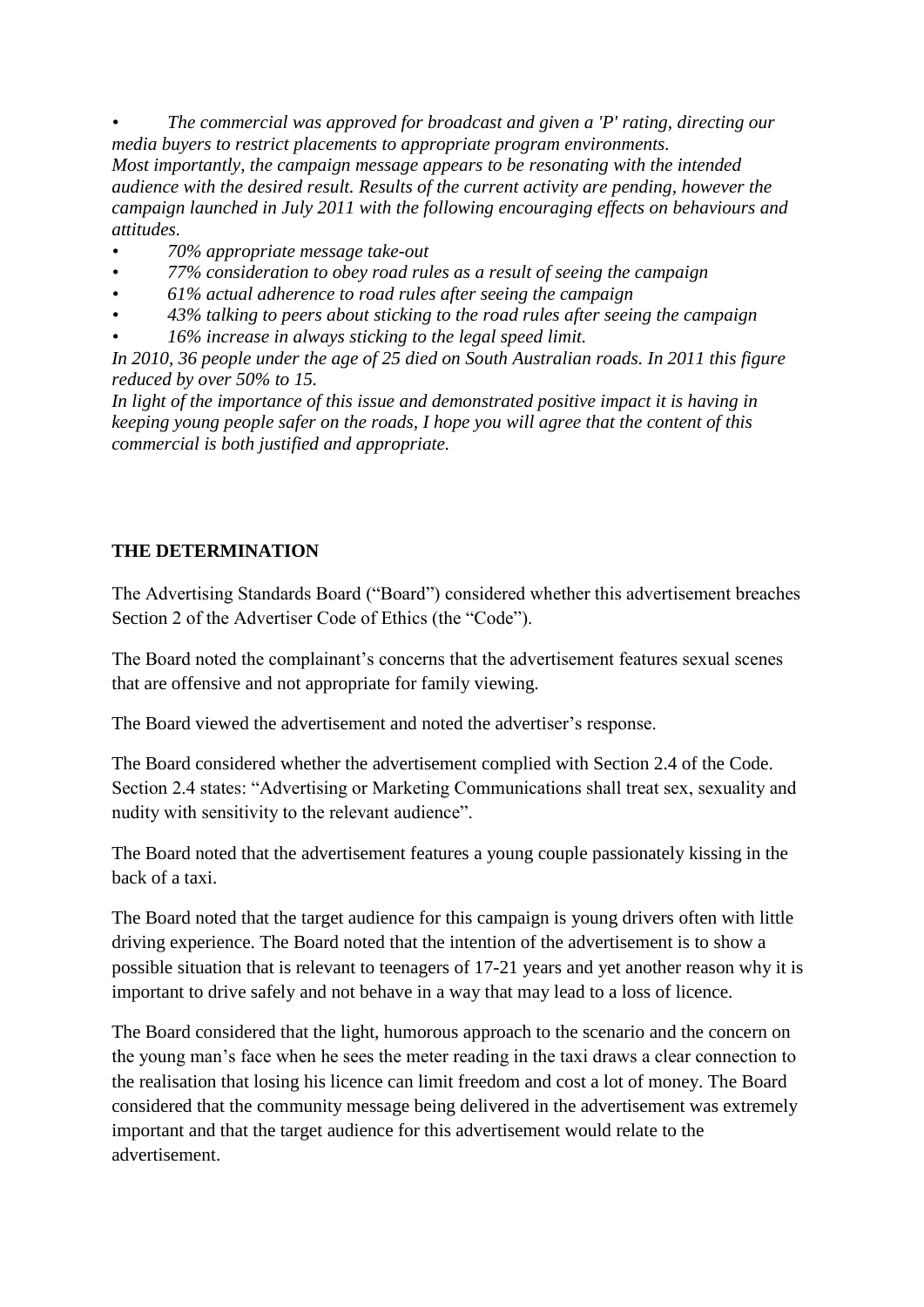*• The commercial was approved for broadcast and given a 'P' rating, directing our media buyers to restrict placements to appropriate program environments. Most importantly, the campaign message appears to be resonating with the intended audience with the desired result. Results of the current activity are pending, however the campaign launched in July 2011 with the following encouraging effects on behaviours and attitudes.*

- *• 70% appropriate message take-out*
- *• 77% consideration to obey road rules as a result of seeing the campaign*
- *• 61% actual adherence to road rules after seeing the campaign*
- *• 43% talking to peers about sticking to the road rules after seeing the campaign*
- *• 16% increase in always sticking to the legal speed limit.*

*In 2010, 36 people under the age of 25 died on South Australian roads. In 2011 this figure reduced by over 50% to 15.* 

In light of the importance of this issue and demonstrated positive impact it is having in *keeping young people safer on the roads, I hope you will agree that the content of this commercial is both justified and appropriate.*

## **THE DETERMINATION**

The Advertising Standards Board ("Board") considered whether this advertisement breaches Section 2 of the Advertiser Code of Ethics (the "Code").

The Board noted the complainant's concerns that the advertisement features sexual scenes that are offensive and not appropriate for family viewing.

The Board viewed the advertisement and noted the advertiser's response.

The Board considered whether the advertisement complied with Section 2.4 of the Code. Section 2.4 states: "Advertising or Marketing Communications shall treat sex, sexuality and nudity with sensitivity to the relevant audience".

The Board noted that the advertisement features a young couple passionately kissing in the back of a taxi.

The Board noted that the target audience for this campaign is young drivers often with little driving experience. The Board noted that the intention of the advertisement is to show a possible situation that is relevant to teenagers of 17-21 years and yet another reason why it is important to drive safely and not behave in a way that may lead to a loss of licence.

The Board considered that the light, humorous approach to the scenario and the concern on the young man's face when he sees the meter reading in the taxi draws a clear connection to the realisation that losing his licence can limit freedom and cost a lot of money. The Board considered that the community message being delivered in the advertisement was extremely important and that the target audience for this advertisement would relate to the advertisement.